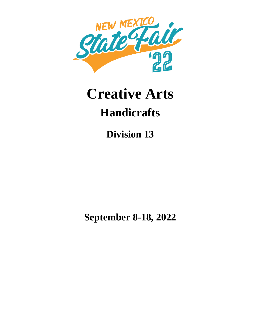

# **Creative Arts Handicrafts**

**Division 13**

**September 8-18, 2022**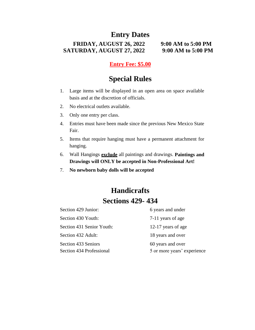# **Entry Dates**

**FRIDAY, AUGUST 26, 2022 9:00 AM to 5:00 PM SATURDAY, AUGUST 27, 2022 9:00 AM to 5:00 PM**

## **Entry Fee: \$5.00**

# **Special Rules**

- 1. Large items will be displayed in an open area on space available basis and at the discretion of officials.
- 2. No electrical outlets available.
- 3. Only one entry per class.
- 4. Entries must have been made since the previous New Mexico State Fair.
- 5. Items that require hanging must have a permanent attachment for hanging.
- 6. Wall Hangings **exclude** all paintings and drawings. **Paintings and Drawings will ONLY be accepted in Non-Professional Art!**
- 7. **No newborn baby dolls will be accepted**

# **Handicrafts Sections 429- 434**

| Section 429 Junior:        | 6 years and under           |
|----------------------------|-----------------------------|
| Section 430 Youth:         | 7-11 years of age           |
| Section 431 Senior Youth:  | 12-17 years of age          |
| Section 432 Adult:         | 18 years and over           |
| <b>Section 433 Seniors</b> | 60 years and over           |
| Section 434 Professional   | 5 or more years' experience |
|                            |                             |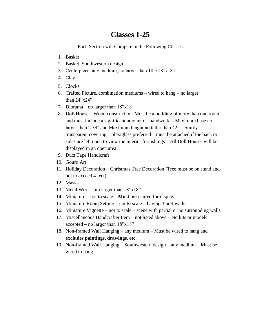## **Classes 1-25**

Each Section will Compete in the Following Classes

- 1. Basket
- 2. Basket, Southwestern design
- 3. Centerpiece, any medium, no larger than 18"x18"x18
- 4. Clay
- 5. Clocks
- 6. Crafted Picture, combination mediums wired to hang no larger than 24"x24"
- 7. Diorama no larger than 18"x18
- 8. Doll House Wood construction- Must be a building of more than one room and must include a significant amount of handwork - Maximum base no larger than 2'x4' and Maximum height no taller than 42" – Sturdy transparent covering – plexiglass preferred – must be attached if the back or sides are left open to view the interior furnishings – All Doll Houses will be displayed in an open area
- 9. Duct Tape Handicraft
- 10. Gourd Art
- 11. Holiday Decoration Christmas Tree Decoration (Tree must be on stand and not to exceed 4 feet)
- 12. Masks
- 13. Metal Work no larger than 18"x18"
- 14. Miniature not to scale **Must** be secured for display
- 15. Miniature Room Setting not to scale having 3 or 4 walls
- 16. Miniature Vignette not to scale scene with partial or no surrounding walls
- 17. Miscellaneous Handcrafter Item not listed above No kits or models accepted – no larger than  $18"x18"$
- 18. Non-framed Wall Hanging any medium Must be wired to hang and **excludes paintings, drawings, etc.**
- 19. Non-framed Wall Hanging Southwestern design any medium Must be wired to hang